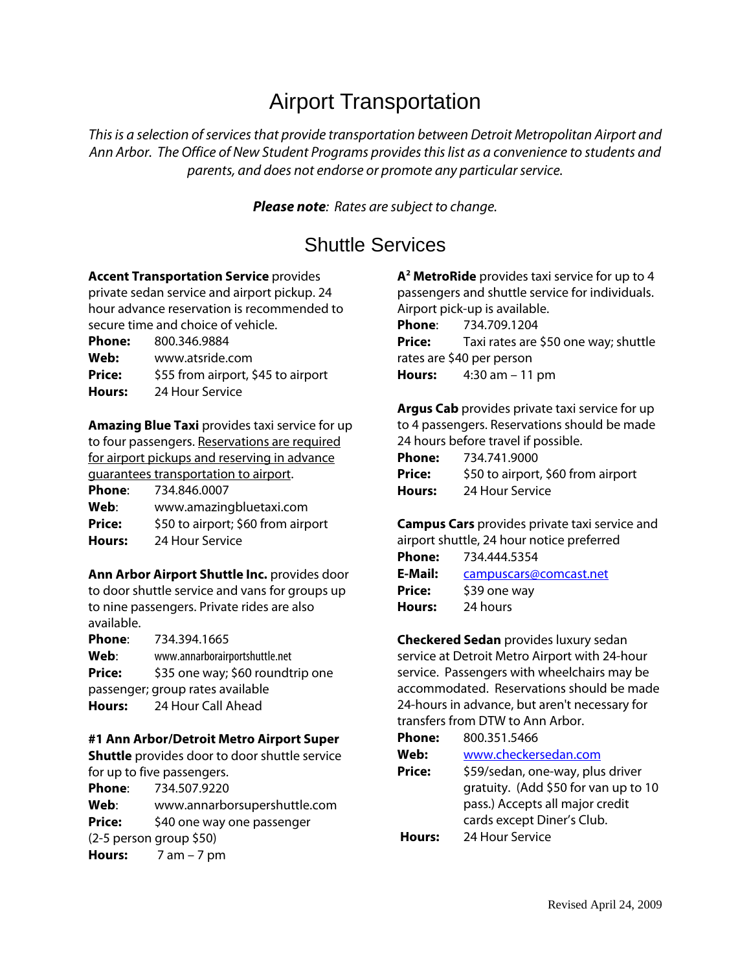## Airport Transportation

This is a selection of services that provide transportation between Detroit Metropolitan Airport and Ann Arbor. The Office of New Student Programs provides this list as a convenience to students and parents, and does not endorse or promote any particular service.

**Please note**: Rates are subject to change.

## Shuttle Services

**Accent Transportation Service** provides private sedan service and airport pickup. 24 hour advance reservation is recommended to secure time and choice of vehicle.

**Phone:** 800.346.9884 **Web:** www.atsride.com **Price:** \$55 from airport, \$45 to airport **Hours:** 24 Hour Service

**Amazing Blue Taxi** provides taxi service for up to four passengers. Reservations are required for airport pickups and reserving in advance guarantees transportation to airport. **Phone**: 734.846.0007 **Web**: www.amazingbluetaxi.com **Price:** \$50 to airport; \$60 from airport **Hours:** 24 Hour Service

**Ann Arbor Airport Shuttle Inc.** provides door to door shuttle service and vans for groups up to nine passengers. Private rides are also available.

**Phone**: 734.394.1665 **Web**: www.annarborairportshuttle.net **Price:**  $$35$  one way; \$60 roundtrip one passenger; group rates available **Hours:** 24 Hour Call Ahead

## **#1 Ann Arbor/Detroit Metro Airport Super**

**Shuttle** provides door to door shuttle service for up to five passengers.

**Phone**: 734.507.9220

**Web**: www.annarborsupershuttle.com **Price:** \$40 one way one passenger (2-5 person group \$50) **Hours:** 7 am – 7 pm

**A2 MetroRide** provides taxi service for up to 4 passengers and shuttle service for individuals. Airport pick-up is available. **Phone**: 734.709.1204 **Price:** Taxi rates are \$50 one way; shuttle rates are \$40 per person

**Hours:** 4:30 am – 11 pm

**Argus Cab** provides private taxi service for up to 4 passengers. Reservations should be made 24 hours before travel if possible.

| <b>Phone:</b> | 734.741.9000                       |
|---------------|------------------------------------|
| <b>Price:</b> | \$50 to airport, \$60 from airport |
| Hours:        | 24 Hour Service                    |

**Campus Cars** provides private taxi service and airport shuttle, 24 hour notice preferred **Phone:** 734.444.5354

| rnone:  | 794.444.3394           |  |
|---------|------------------------|--|
| E-Mail: | campuscars@comcast.net |  |
| Price:  | \$39 one way           |  |
| Hours:  | 24 hours               |  |

**Checkered Sedan** provides luxury sedan service at Detroit Metro Airport with 24-hour service. Passengers with wheelchairs may be accommodated. Reservations should be made 24-hours in advance, but aren't necessary for transfers from DTW to Ann Arbor.

| <b>Phone:</b> | 800.351.5466                         |  |  |  |
|---------------|--------------------------------------|--|--|--|
| Web:          | www.checkersedan.com                 |  |  |  |
| <b>Price:</b> | \$59/sedan, one-way, plus driver     |  |  |  |
|               | gratuity. (Add \$50 for van up to 10 |  |  |  |
|               | pass.) Accepts all major credit      |  |  |  |
|               | cards except Diner's Club.           |  |  |  |
| Hours:        | 24 Hour Service                      |  |  |  |